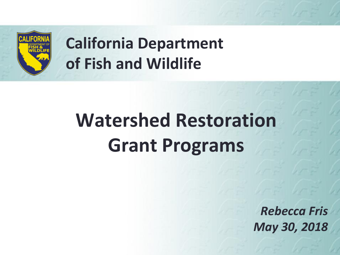

# **California Department of Fish and Wildlife**

# **Watershed Restoration Grant Programs**

*Rebecca Fris May 30, 2018*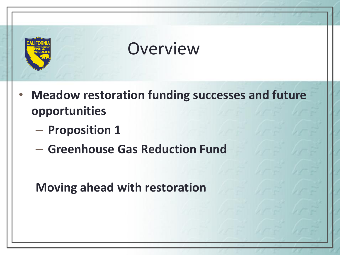

- **Meadow restoration funding successes and future opportunities**
	- **Proposition 1**
	- **Greenhouse Gas Reduction Fund**

**Moving ahead with restoration**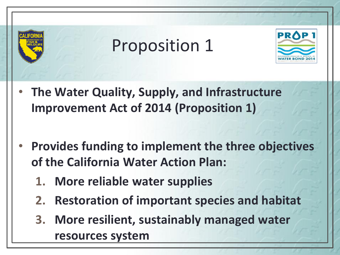# Proposition 1



- **The Water Quality, Supply, and Infrastructure Improvement Act of 2014 (Proposition 1)**
- **Provides funding to implement the three objectives of the California Water Action Plan:** 
	- **1. More reliable water supplies**
	- **2. Restoration of important species and habitat**
	- **3. More resilient, sustainably managed water resources system**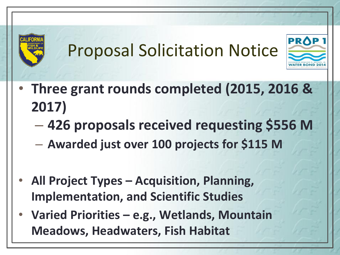# Proposal Solicitation Notice



- **Three grant rounds completed (2015, 2016 & 2017)**
	- **426 proposals received requesting \$556 M**
	- **Awarded just over 100 projects for \$115 M**
- **All Project Types – Acquisition, Planning, Implementation, and Scientific Studies**
- **Varied Priorities – e.g., Wetlands, Mountain Meadows, Headwaters, Fish Habitat**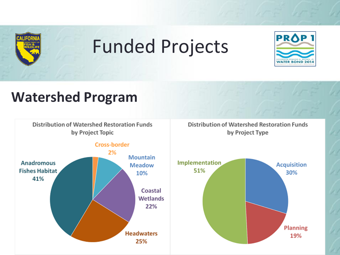

# Funded Projects



#### **Watershed Program**

Distribution of Watershed Restoration Funds by Project Topic

Distribution of Watershed Restoration Funds by Project Type



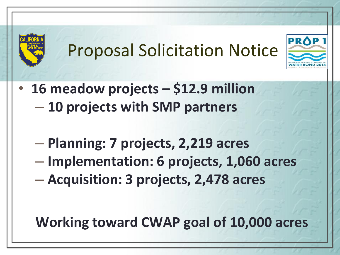# Proposal Solicitation Notice

**PROP** 



- **Planning: 7 projects, 2,219 acres**
- **Implementation: 6 projects, 1,060 acres**
- **Acquisition: 3 projects, 2,478 acres**

**Working toward CWAP goal of 10,000 acres**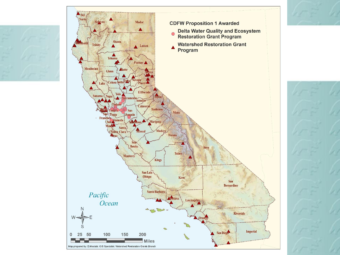



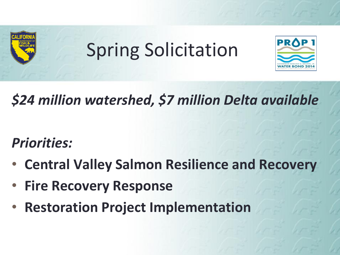

# Spring Solicitation



# *\$24 million watershed, \$7 million Delta available*

### *Priorities:*

- **Central Valley Salmon Resilience and Recovery**
- **Fire Recovery Response**
- **Restoration Project Implementation**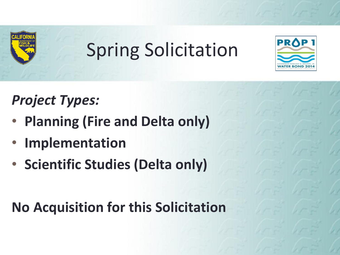

# Spring Solicitation



## *Project Types:*

- **Planning (Fire and Delta only)**
- **Implementation**
- **Scientific Studies (Delta only)**

**No Acquisition for this Solicitation**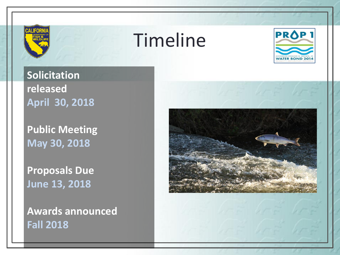

# Timeline



**Solicitation released April 30, 2018**

**Public Meeting May 30, 2018**

**Proposals Due June 13, 2018**

**Awards announced Fall 2018**

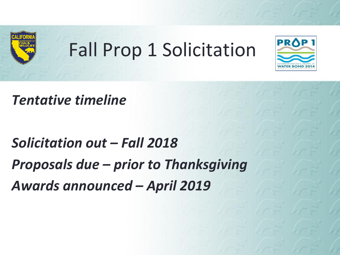

# Fall Prop 1 Solicitation



#### *Tentative timeline*

# *Solicitation out – Fall 2018 Proposals due – prior to Thanksgiving Awards announced – April 2019*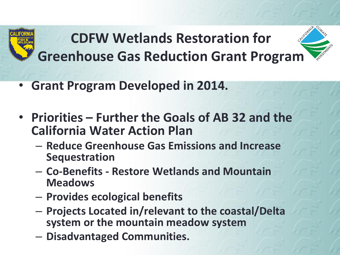

- **Grant Program Developed in 2014.**
- **Priorities – Further the Goals of AB 32 and the California Water Action Plan**
	- **Reduce Greenhouse Gas Emissions and Increase Sequestration**
	- **Co-Benefits - Restore Wetlands and Mountain Meadows**
	- **Provides ecological benefits**
	- **Projects Located in/relevant to the coastal/Delta system or the mountain meadow system**
	- **Disadvantaged Communities.**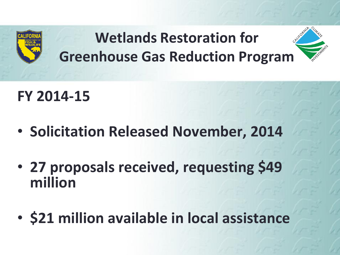

### **FY 2014-15**

- **Solicitation Released November, 2014**
- **27 proposals received, requesting \$49 million**
- **\$21 million available in local assistance**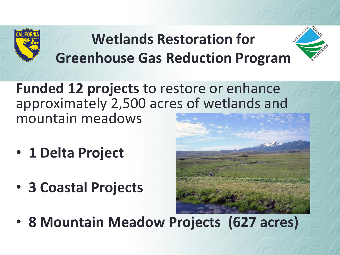

**Funded 12 projects** to restore or enhance approximately 2,500 acres of wetlands and mountain meadows

- **1 Delta Project**
- **3 Coastal Projects**



• **8 Mountain Meadow Projects (627 acres)**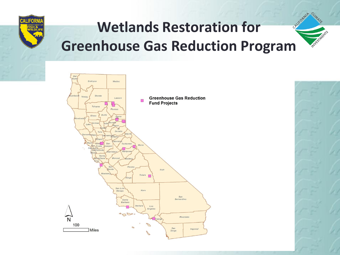





**INVEST**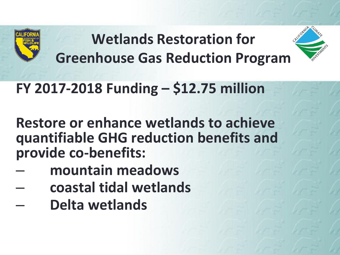

## **FY 2017-2018 Funding – \$12.75 million**

**Restore or enhance wetlands to achieve quantifiable GHG reduction benefits and provide co-benefits:**

- **mountain meadows**
- **coastal tidal wetlands**
- **Delta wetlands**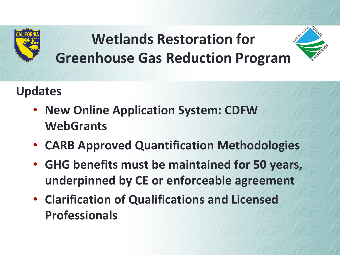

#### **Updates**

- **New Online Application System: CDFW WebGrants**
- **CARB Approved Quantification Methodologies**
- **GHG benefits must be maintained for 50 years, underpinned by CE or enforceable agreement**
- **Clarification of Qualifications and Licensed Professionals**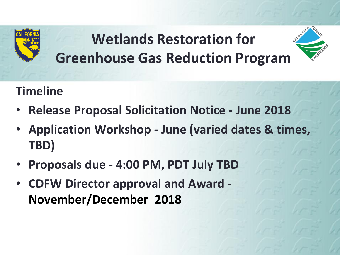

#### **Timeline**

- **Release Proposal Solicitation Notice - June 2018**
- **Application Workshop - June (varied dates & times, TBD)**
- **Proposals due - 4:00 PM, PDT July TBD**
- **CDFW Director approval and Award - November/December 2018**